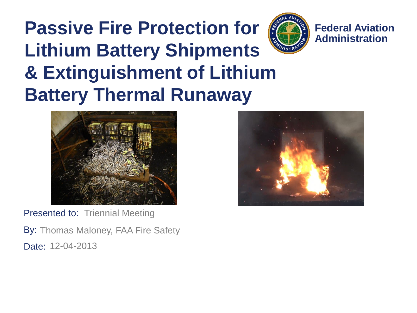#### **Passive Fire Protection for Lithium Battery Shipments & Extinguishment of Lithium Battery Thermal Runaway**



**Federal Aviation Administration**



Presented to: Triennial Meeting

By: Thomas Maloney, FAA Fire Safety Date: 12-04-2013

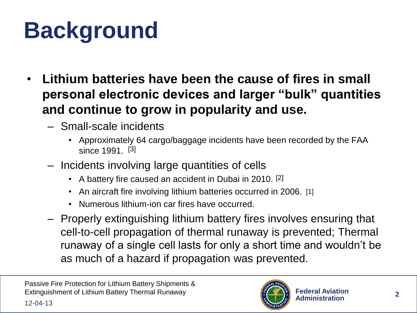## **Background**

- **Lithium batteries have been the cause of fires in small personal electronic devices and larger "bulk" quantities and continue to grow in popularity and use.**
	- Small-scale incidents
		- Approximately 64 cargo/baggage incidents have been recorded by the FAA since 1991. [3]
	- Incidents involving large quantities of cells
		- A battery fire caused an accident in Dubai in 2010. [2]
		- An aircraft fire involving lithium batteries occurred in 2006. [1]
		- Numerous lithium-ion car fires have occurred.
	- Properly extinguishing lithium battery fires involves ensuring that cell-to-cell propagation of thermal runaway is prevented; Thermal runaway of a single cell lasts for only a short time and wouldn't be as much of a hazard if propagation was prevented.

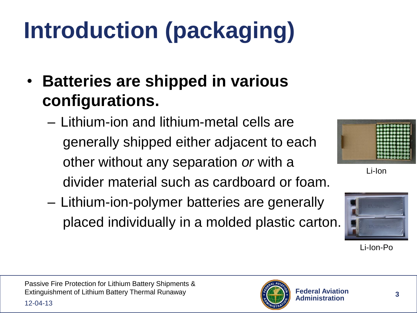# **Introduction (packaging)**

- **Batteries are shipped in various configurations.**
	- Lithium-ion and lithium-metal cells are generally shipped either adjacent to each other without any separation *or* with a divider material such as cardboard or foam.
	- Lithium-ion-polymer batteries are generally placed individually in a molded plastic carton.



Li-Ion



Li-Ion-Po

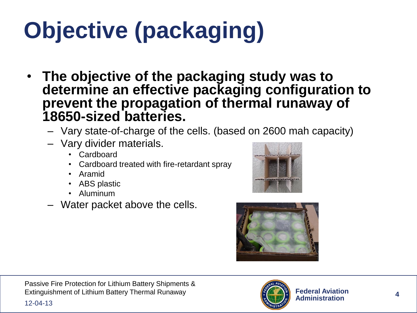## **Objective (packaging)**

- **The objective of the packaging study was to determine an effective packaging configuration to prevent the propagation of thermal runaway of 18650-sized batteries.**
	- Vary state-of-charge of the cells. (based on 2600 mah capacity)
	- Vary divider materials.
		- Cardboard
		- Cardboard treated with fire-retardant spray
		- Aramid
		- ABS plastic
		- Aluminum
	- Water packet above the cells.





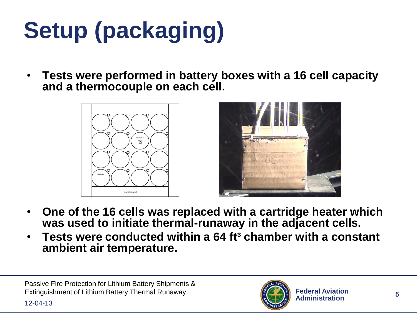# **Setup (packaging)**

• **Tests were performed in battery boxes with a 16 cell capacity and a thermocouple on each cell.**





- **One of the 16 cells was replaced with a cartridge heater which was used to initiate thermal-runaway in the adjacent cells.**
- **Tests were conducted within a 64 ft³ chamber with a constant ambient air temperature.**

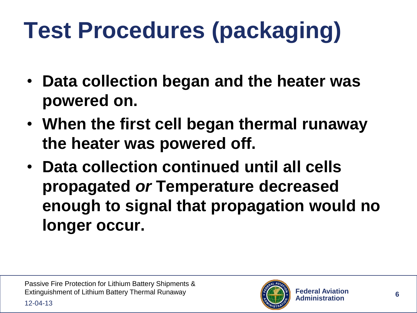## **Test Procedures (packaging)**

- **Data collection began and the heater was powered on.**
- **When the first cell began thermal runaway the heater was powered off.**
- **Data collection continued until all cells propagated** *or* **Temperature decreased enough to signal that propagation would no longer occur.**

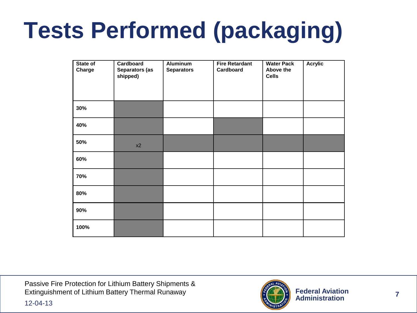## **Tests Performed (packaging)**

| State of<br>Charge | Cardboard<br>Separators (as<br>shipped) | <b>Aluminum</b><br><b>Separators</b> | <b>Fire Retardant</b><br>Cardboard | <b>Water Pack</b><br>Above the<br><b>Cells</b> | <b>Acrylic</b> |
|--------------------|-----------------------------------------|--------------------------------------|------------------------------------|------------------------------------------------|----------------|
| 30%                |                                         |                                      |                                    |                                                |                |
| 40%                |                                         |                                      |                                    |                                                |                |
| 50%                | x2                                      |                                      |                                    |                                                |                |
| 60%                |                                         |                                      |                                    |                                                |                |
| 70%                |                                         |                                      |                                    |                                                |                |
| 80%                |                                         |                                      |                                    |                                                |                |
| 90%                |                                         |                                      |                                    |                                                |                |
| 100%               |                                         |                                      |                                    |                                                |                |

Passive Fire Protection for Lithium Battery Shipments & Extinguishment of Lithium Battery Thermal Runaway

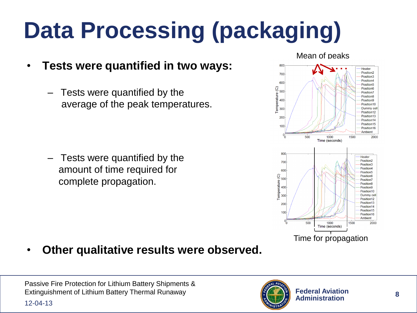# **Data Processing (packaging)**

- **Tests were quantified in two ways:**
	- Tests were quantified by the average of the peak temperatures.

– Tests were quantified by the amount of time required for complete propagation.



• **Other qualitative results were observed.**

Passive Fire Protection for Lithium Battery Shipments & Extinguishment of Lithium Battery Thermal Runaway

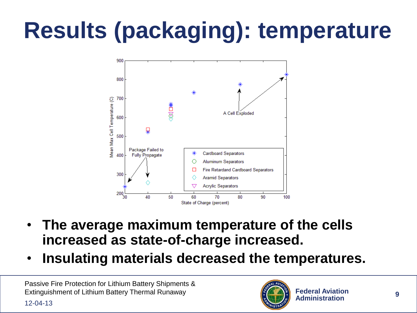## **Results (packaging): temperature**



- **The average maximum temperature of the cells increased as state-of-charge increased.**
- **Insulating materials decreased the temperatures.**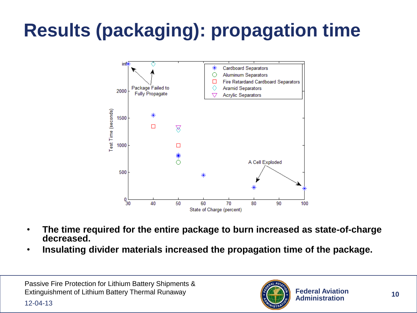#### **Results (packaging): propagation time**



- **The time required for the entire package to burn increased as state-of-charge decreased.**
- **Insulating divider materials increased the propagation time of the package.**

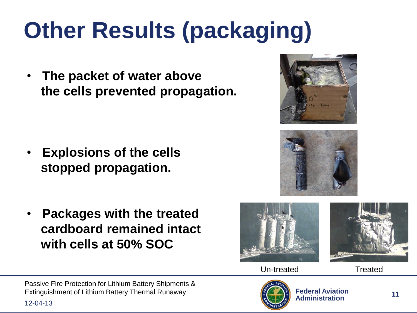## **Other Results (packaging)**

• **The packet of water above the cells prevented propagation.**

- **Explosions of the cells stopped propagation.**
- **Packages with the treated cardboard remained intact with cells at 50% SOC**









Un-treated Treated

Passive Fire Protection for Lithium Battery Shipments & Extinguishment of Lithium Battery Thermal Runaway

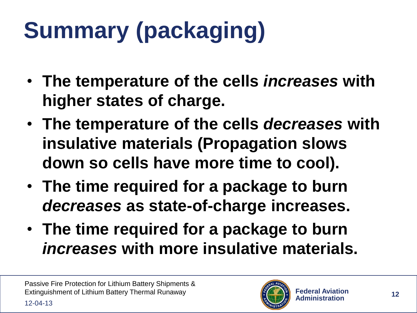# **Summary (packaging)**

- **The temperature of the cells** *increases* **with higher states of charge.**
- **The temperature of the cells** *decreases* **with insulative materials (Propagation slows down so cells have more time to cool).**
- **The time required for a package to burn**  *decreases* **as state-of-charge increases.**
- **The time required for a package to burn**  *increases* **with more insulative materials.**

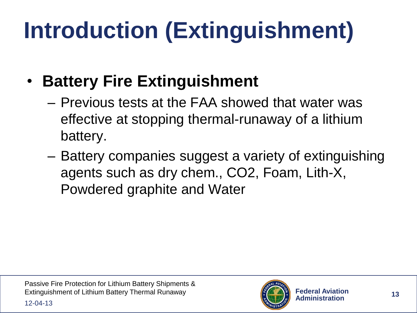## **Introduction (Extinguishment)**

- **Battery Fire Extinguishment**
	- Previous tests at the FAA showed that water was effective at stopping thermal-runaway of a lithium battery.
	- Battery companies suggest a variety of extinguishing agents such as dry chem., CO2, Foam, Lith-X, Powdered graphite and Water

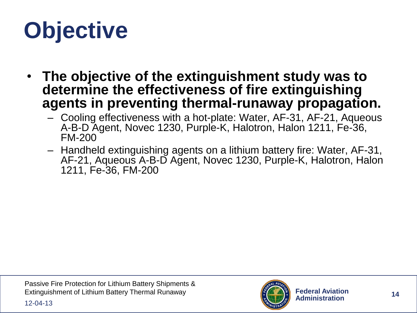## **Objective**

- **The objective of the extinguishment study was to determine the effectiveness of fire extinguishing agents in preventing thermal-runaway propagation.**
	- Cooling effectiveness with a hot-plate: Water, AF-31, AF-21, Aqueous A-B-D Agent, Novec 1230, Purple-K, Halotron, Halon 1211, Fe-36, FM-200
	- Handheld extinguishing agents on a lithium battery fire: Water, AF-31, AF-21, Aqueous A-B-D Agent, Novec 1230, Purple-K, Halotron, Halon 1211, Fe-36, FM-200

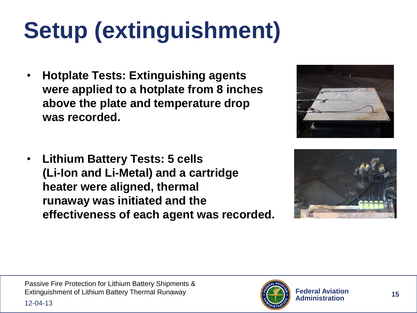## **Setup (extinguishment)**

• **Hotplate Tests: Extinguishing agents were applied to a hotplate from 8 inches above the plate and temperature drop was recorded.**

![](_page_14_Picture_2.jpeg)

• **Lithium Battery Tests: 5 cells (Li-Ion and Li-Metal) and a cartridge heater were aligned, thermal runaway was initiated and the effectiveness of each agent was recorded.**

![](_page_14_Picture_4.jpeg)

![](_page_14_Picture_6.jpeg)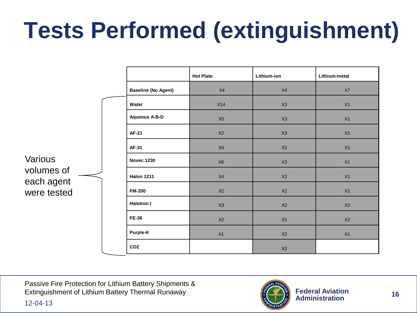## **Tests Performed (extinguishment)**

|                           |                            | <b>Hot Plate</b> | Lithium-ion | Lithium-metal |
|---------------------------|----------------------------|------------------|-------------|---------------|
|                           | <b>Baseline (No Agent)</b> | X4               | X4          | $\chi_{7}$    |
|                           | Water                      | X14              | X3          | X1            |
|                           | <b>Aqueous A-B-D</b>       | X5               | X3          | X1            |
|                           | AF-21                      | X2               | X3          | X1            |
|                           | <b>AF-31</b>               | X4               | X2          | X1            |
| Various                   | <b>Novec 1230</b>          | X <sub>6</sub>   | X3          | X1            |
| volumes of                | <b>Halon 1211</b>          | X4               | X2          | X1            |
| each agent<br>were tested | <b>FM-200</b>              | X2               | X2          | X2            |
|                           | <b>Halotron I</b>          | X3               | X2          | X2            |
|                           | <b>FE-36</b>               | X2               | X1          | X2            |
|                           | Purple-K                   | X1               | X2          | X1            |
|                           | CO <sub>2</sub>            |                  | X2          |               |

Passive Fire Protection for Lithium Battery Shipments & Extinguishment of Lithium Battery Thermal Runaway

![](_page_15_Picture_3.jpeg)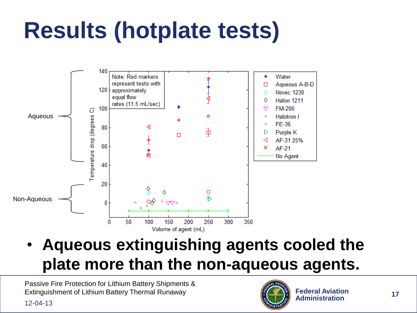## **Results (hotplate tests)**

![](_page_16_Figure_1.jpeg)

• **Aqueous extinguishing agents cooled the plate more than the non-aqueous agents.**

![](_page_16_Picture_4.jpeg)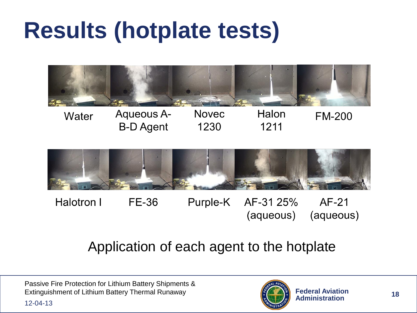#### **Results (hotplate tests)**

![](_page_17_Picture_1.jpeg)

Halon Aqueous A-**Novec** Water **FM-200** 1211 **B-D** Agent 1230

![](_page_17_Figure_3.jpeg)

FE-36  $AF-21$ Halotron I Purple-K AF-31 25% (aqueous) (aqueous)

#### Application of each agent to the hotplate

Passive Fire Protection for Lithium Battery Shipments & Extinguishment of Lithium Battery Thermal Runaway

![](_page_17_Picture_7.jpeg)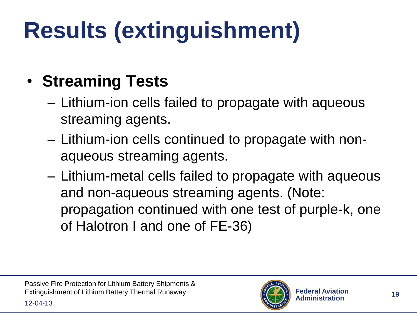## **Results (extinguishment)**

#### • **Streaming Tests**

- Lithium-ion cells failed to propagate with aqueous streaming agents.
- Lithium-ion cells continued to propagate with nonaqueous streaming agents.
- Lithium-metal cells failed to propagate with aqueous and non-aqueous streaming agents. (Note: propagation continued with one test of purple-k, one of Halotron I and one of FE-36)

![](_page_18_Picture_6.jpeg)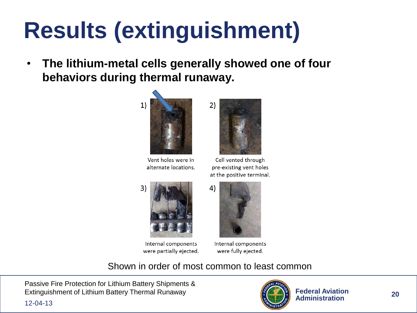#### **Results (extinguishment)**

• **The lithium-metal cells generally showed one of four behaviors during thermal runaway.**

![](_page_19_Picture_2.jpeg)

Vent holes were in alternate locations.

![](_page_19_Picture_4.jpeg)

Cell vented through pre-existing vent holes at the positive terminal.

![](_page_19_Picture_6.jpeg)

Internal components were partially ejected.

![](_page_19_Picture_8.jpeg)

Internal components were fully ejected.

Shown in order of most common to least common

Passive Fire Protection for Lithium Battery Shipments & Extinguishment of Lithium Battery Thermal Runaway

![](_page_19_Picture_12.jpeg)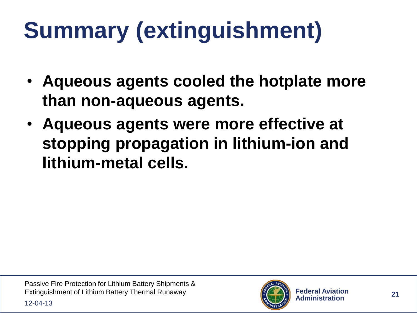# **Summary (extinguishment)**

- **Aqueous agents cooled the hotplate more than non-aqueous agents.**
- **Aqueous agents were more effective at stopping propagation in lithium-ion and lithium-metal cells.**

![](_page_20_Picture_4.jpeg)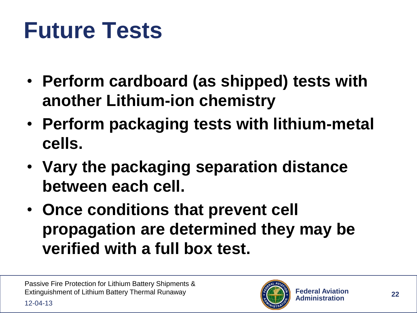#### **Future Tests**

- **Perform cardboard (as shipped) tests with another Lithium-ion chemistry**
- **Perform packaging tests with lithium-metal cells.**
- **Vary the packaging separation distance between each cell.**
- **Once conditions that prevent cell propagation are determined they may be verified with a full box test.**

![](_page_21_Picture_6.jpeg)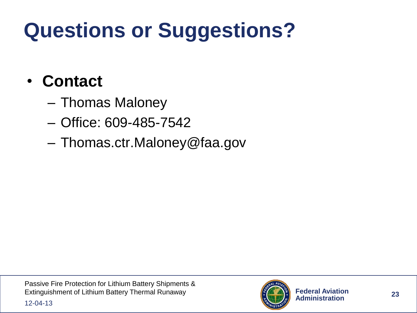#### **Questions or Suggestions?**

#### • **Contact**

- Thomas Maloney
- Office: 609-485-7542
- Thomas.ctr.Maloney@faa.gov

![](_page_22_Picture_6.jpeg)